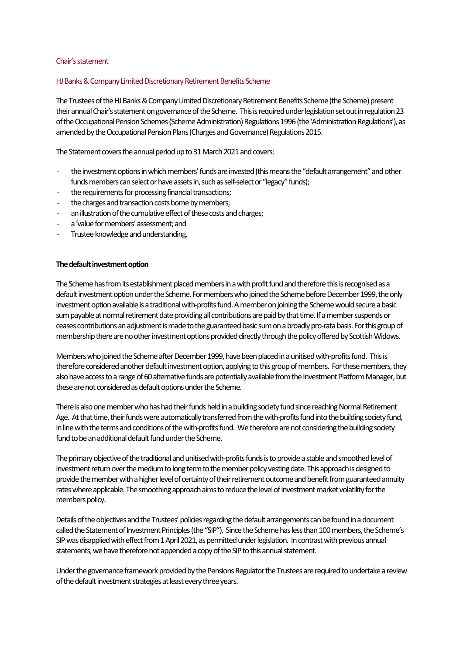#### Chair's statement

### HJ Banks & Company Limited Discretionary Retirement Benefits Scheme

The Trustees of the HJ Banks & Company Limited Discretionary Retirement Benefits Scheme (the Scheme) present their annual Chair's statement on governance of the Scheme. This is required under legislation set out in regulation 23 of the Occupational Pension Schemes (Scheme Administration) Regulations 1996 (the 'Administration Regulations'), as amended by the Occupational Pension Plans (Charges and Governance) Regulations 2015.

The Statement covers the annual period up to 31 March 2021 and covers:

- the investment options in which members' funds are invested (this means the "default arrangement" and other funds members can select or have assets in, such as self-select or "legacy" funds);
- the requirements for processing financial transactions;
- the charges and transaction costs borne by members;
- an illustration of the cumulative effect of these costs and charges;
- a 'value for members' assessment; and
- Trustee knowledge and understanding.

### **The default investment option**

The Scheme has from its establishment placed members in a with profit fund and therefore this is recognised as a default investment option under the Scheme. For members who joined the Scheme before December 1999, the only investment option available is a traditional with-profits fund. A member on joining the Scheme would secure a basic sum payable at normal retirement date providing all contributions are paid by that time. If a member suspends or ceases contributions an adjustment is made to the guaranteed basic sum on a broadly pro-rata basis. For this group of membership there are no other investment options provided directly through the policy offered by Scottish Widows.

Members who joined the Scheme after December 1999, have been placed in a unitised with-profits fund. This is therefore considered another default investment option, applying to this group of members. For these members, they also have access to arange of 60 alternative funds are potentially available fromthe Investment Platform Manager, but these are not considered as default options under the Scheme.

There is also one member who has had their funds held in a building society fund since reaching Normal Retirement Age. At that time, their funds were automatically transferred from the with-profits fund into the building society fund, in line with the terms and conditions of the with-profits fund. We therefore are not considering the building society fund to be an additional default fund under the Scheme.

The primary objective of the traditional and unitised with-profits fundsisto provide a stable and smoothed level of investment return over the medium to long term to the member policy vesting date. This approach is designed to provide the member with a higher level of certainty of their retirement outcome and benefit from guaranteed annuity rateswhere applicable. The smoothing approach aims to reduce the level of investment market volatility forthe members policy.

Details of the objectives and the Trustees' policies regarding the default arrangements can be found in a document called the Statement of Investment Principles (the "SIP"). Since the Scheme has less than 100 members, the Scheme's SIP was disapplied with effect from 1 April 2021, as permitted under legislation. In contrast with previous annual statements, we have therefore not appended a copy of the SIP to this annual statement.

Under the governance framework provided by the Pensions Regulator the Trustees are required to undertake a review of the default investment strategies at least every three years.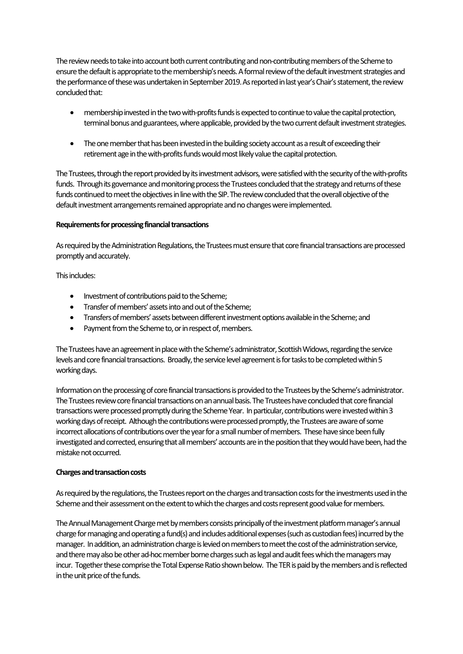The review needs to take into account both current contributing and non-contributing members of the Scheme to ensure the default is appropriate to the membership's needs. A formal review of the default investment strategies and the performance of thesewas undertaken in September 2019.As reported in last year's Chair's statement, the review concluded that:

- membership invested in the two with-profits funds is expected to continue to value the capital protection, terminal bonus and guarantees, where applicable, provided by the two current default investment strategies.
- The one member that has been invested in the building society account as a result of exceeding their retirement age in the with-profits funds would most likely value the capital protection.

The Trustees, through the report provided by its investment advisors, were satisfied with the security of the with-profits funds. Through its governance and monitoring process the Trustees concluded that the strategy and returns of these funds continued to meet the objectives in line with the SIP. The review concluded that the overall objective of the default investment arrangements remained appropriate and no changes were implemented.

### **Requirements for processing financial transactions**

As required by the Administration Regulations, the Trustees must ensure that core financial transactions are processed promptly and accurately.

This includes:

- Investment of contributions paid to the Scheme;
- Transfer of members' assets into and out of the Scheme;
- Transfers of members' assets between different investment options available in the Scheme; and
- Payment from the Scheme to, or in respect of, members.

The Trustees have an agreement in place with the Scheme's administrator, Scottish Widows,regarding the service levels and core financial transactions. Broadly, the service level agreement is for tasks to be completed within 5 working days.

Information on the processing of core financial transactions is provided to the Trustees by the Scheme's administrator. The Trustees review core financial transactions on an annual basis. The Trustees have concluded that core financial transactions were processed promptly during the Scheme Year. In particular, contributions were invested within 3 working days ofreceipt. Although the contributions were processed promptly, the Trustees are aware of some incorrect allocations of contributions over the year for a small number of members. These have since been fully investigated and corrected, ensuring that all members' accounts are in the position that they would have been, had the mistake not occurred.

## **Charges and transaction costs**

As required by the regulations, the Trustees report on the charges and transaction costs for the investments used inthe Scheme and their assessment on the extent to which the charges and costs represent good value for members.

The Annual Management Charge met by members consists principally of the investment platform manager's annual charge for managing and operating a fund(s) and includes additional expenses (such as custodian fees) incurred by the manager. In addition, an administration charge is levied on members to meet the cost of the administration service, and there may also be other ad-hoc member borne charges such as legal and audit fees which the managers may incur. Together these comprise the Total Expense Ratio shown below. The TER is paid by the members and is reflected in the unit price of the funds.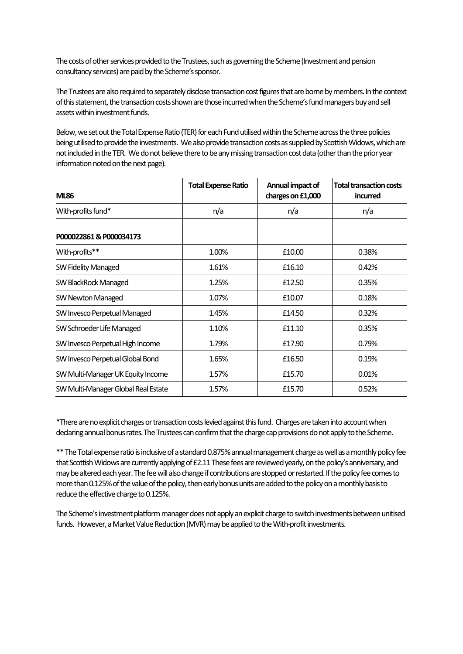The costs of other services provided to the Trustees, such as governing the Scheme (Investment and pension consultancy services) are paid by the Scheme's sponsor.

The Trustees are also required to separately disclose transaction cost figures that are borne by members. In the context of this statement, the transaction costs shown are those incurred when the Scheme's fund managers buy and sell assets within investment funds.

Below, we set out the Total Expense Ratio (TER) for each Fund utilised within the Scheme across the three policies being utilised to provide the investments. We also provide transaction costs as supplied by Scottish Widows, which are not included in the TER. We do not believe there to be any missing transaction cost data(other than the prior year information noted on the next page).

| <b>ML86</b>                         | <b>Total Expense Ratio</b> | Annual impact of<br>charges on £1,000 | <b>Total transaction costs</b><br>incurred |  |
|-------------------------------------|----------------------------|---------------------------------------|--------------------------------------------|--|
| With-profits fund*                  | n/a                        | n/a                                   | n/a                                        |  |
| P000022861 & P000034173             |                            |                                       |                                            |  |
| With-profits**                      | 1.00%                      | £10.00                                | 0.38%                                      |  |
| SW Fidelity Managed                 | 1.61%                      | £16.10                                | 0.42%                                      |  |
| SW BlackRock Managed                | 1.25%                      | £12.50                                | 0.35%                                      |  |
| SW Newton Managed                   | 1.07%                      | £10.07                                | 0.18%                                      |  |
| SW Invesco Perpetual Managed        | 1.45%                      | £14.50                                | 0.32%                                      |  |
| SW Schroeder Life Managed           | 1.10%                      | £11.10                                | 0.35%                                      |  |
| SW Invesco Perpetual High Income    | 1.79%                      | £17.90                                | 0.79%                                      |  |
| SW Invesco Perpetual Global Bond    | 1.65%                      | £16.50                                | 0.19%                                      |  |
| SW Multi-Manager UK Equity Income   | 1.57%                      | £15.70                                | 0.01%                                      |  |
| SW Multi-Manager Global Real Estate | 1.57%                      | £15.70                                | 0.52%                                      |  |

\*There are no explicit charges or transaction costs levied against this fund. Charges are taken into account when declaring annual bonus rates.The Trustees can confirm that the charge cap provisions do not apply to the Scheme.

\*\* The Total expense ratio is inclusive of a standard 0.875% annual management charge as well as a monthly policy fee that Scottish Widows are currently applying of £2.11 These fees are reviewed yearly, on the policy's anniversary, and may be altered each year. The fee will also change if contributions are stopped or restarted. If the policy fee comesto more than 0.125% of the value of the policy, then early bonus units are added to the policy on a monthly basis to reduce the effective charge to 0.125%.

The Scheme's investment platform manager does not apply an explicit charge to switch investments between unitised funds. However, a Market Value Reduction (MVR) may be applied to the With-profit investments.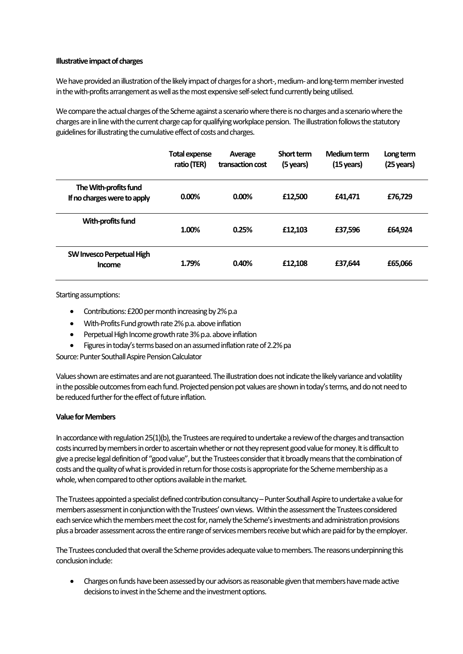### **Illustrative impact of charges**

We have provided an illustration of the likely impact of charges for a short-, medium-and long-term member invested in the with-profits arrangement as well as the most expensive self-select fund currently being utilised.

We compare the actual charges of the Scheme against a scenario where there is no charges and a scenario where the charges are in line with the current charge cap for qualifying workplace pension. The illustration follows the statutory guidelines for illustrating the cumulative effect of costs and charges.

|                                                      | <b>Total expense</b><br>ratio (TER) | Average<br>transaction cost | Short term<br>(5 years) | Medium term<br>$(15 \,\text{years})$ | Long term<br>(25 years) |
|------------------------------------------------------|-------------------------------------|-----------------------------|-------------------------|--------------------------------------|-------------------------|
| The With-profits fund<br>If no charges were to apply | $0.00\%$                            | $0.00\%$                    | £12,500                 | £41.471                              | £76.729                 |
| With-profits fund                                    | 1.00%                               | 0.25%                       | £12,103                 | £37,596                              | £64.924                 |
| SW Invesco Perpetual High<br>Income                  | 1.79%                               | 0.40%                       | £12,108                 | £37.644                              | £65,066                 |

Starting assumptions:

- Contributions: £200 per month increasing by 2% p.a
- With-Profits Fund growth rate 2% p.a. above inflation
- Perpetual High Income growth rate 3% p.a. above inflation
- Figures in today's terms based on an assumed inflation rate of 2.2% pa

Source: Punter Southall Aspire Pension Calculator

Values shown are estimates and are not guaranteed. The illustration does not indicate the likely variance and volatility in the possible outcomes from each fund. Projected pension pot values are shown in today's terms, and do not need to be reduced further for the effect of future inflation.

### **Value for Members**

In accordance with regulation 25(1)(b), the Trustees are required to undertake a review of the charges and transaction costs incurred by members in order to ascertain whether or not they represent good value for money.It is difficult to give a precise legal definition of "good value", but the Trustees consider that it broadly means that the combination of costs and the quality of what is provided in return for those costs is appropriate for the Scheme membership as a whole, when compared to other options available in the market.

The Trustees appointed a specialist defined contribution consultancy –Punter Southall Aspire to undertake a value for members assessment in conjunction with the Trustees' own views. Within the assessment the Trustees considered each service which the members meet the cost for, namely the Scheme's investments and administration provisions plus a broader assessment across the entire range of services members receive but which are paid for by the employer.

The Trustees concluded that overall the Scheme provides adequate value to members. The reasons underpinning this conclusion include:

• Charges on funds have been assessed by our advisors as reasonable given that members have made active decisions to invest in the Scheme and the investment options.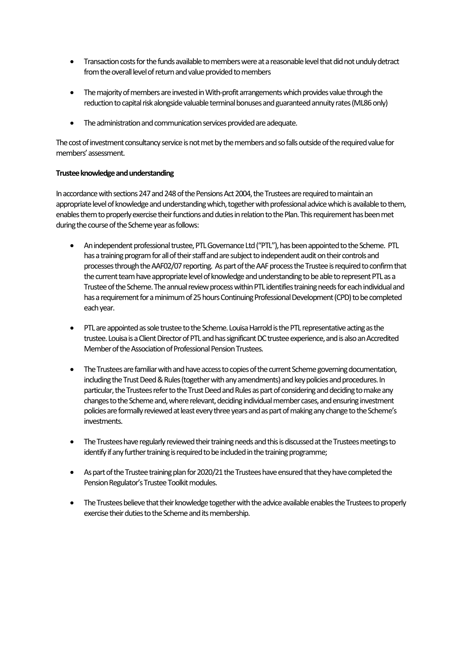- Transaction costs for the funds available to members were at a reasonable level that did not unduly detract from the overall level of return and value provided to members
- The majority of members are invested in With-profit arrangements which provides value through the reduction to capital risk alongside valuable terminal bonuses and guaranteed annuity rates (ML86 only)
- The administration and communication services provided are adequate.

The cost of investment consultancy service is not met by the members and so falls outside of the required value for members' assessment.

# **Trustee knowledge and understanding**

In accordance with sections 247 and 248 of the Pensions Act 2004, the Trustees are required to maintain an appropriate level of knowledge and understanding which, together with professional advice which is available to them, enables them to properly exercise their functions and duties in relation to the Plan. This requirement has been met during the course of the Scheme year as follows:

- An independent professional trustee, PTL Governance Ltd ("PTL"), has been appointed to the Scheme. PTL has a training program for all of their staff and are subject to independent audit on their controls and processes through the AAF02/07 reporting. As part of the AAF process the Trustee is required to confirm that the current team have appropriate level of knowledge and understanding to be able to represent PTL as a Trustee of the Scheme. The annual review process within PTL identifies training needs for each individual and has a requirement for a minimum of 25 hours Continuing Professional Development (CPD) to be completed each year.
- PTL are appointed as sole trustee to the Scheme. Louisa Harrold is the PTL representative acting as the trustee. Louisais a Client Director of PTL and has significant DC trustee experience, and is also an Accredited Member of the Association of Professional Pension Trustees.
- The Trustees are familiar with and have access to copies of the current Scheme governing documentation, including the Trust Deed & Rules (together with any amendments) and key policies and procedures. In particular, the Trustees refer to the Trust Deed and Rules as part of considering and deciding to make any changes to the Scheme and, where relevant, deciding individual member cases, and ensuring investment policies are formally reviewed at least every three years and as part of making any change to the Scheme's investments.
- The Trustees have regularly reviewed their training needs and this is discussed at the Trustees meetings to identify if any further training is required to be included in the training programme;
- As part of the Trustee training plan for 2020/21 the Trustees have ensured that they have completed the Pension Regulator's Trustee Toolkit modules.
- The Trustees believe that their knowledge together with the advice available enables the Trustees to properly exercise their duties to the Scheme and its membership.